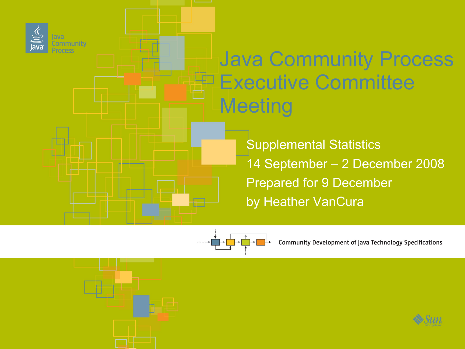

Java Community Process E<sup>p</sup> Executive Committee **Meeting** 

> Supplemental Statistics 14 September – 2 December 2008 Prepared for 9 December by Heather VanCura



Community Development of Java Technology Specifications

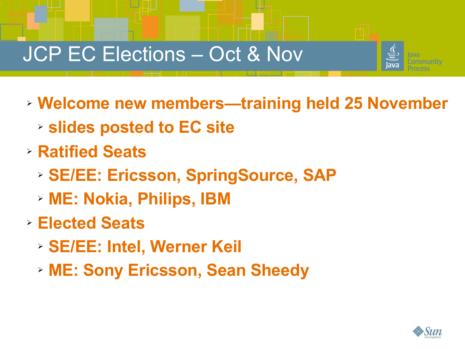## JCP EC Elections – Oct & Nov



- ➢ **Welcome new members—training held 25 November**
	- ➢ **slides posted to EC site**
- ➢ **Ratified Seats**

**2**C

©20

f

i a

- ➢ **SE/EE: Ericsson, SpringSource, SAP**
- ➢ **ME: Nokia, Philips, IBM**
- ➢ **Elected Seats**
	- ➢ **SE/EE: Intel, Werner Keil**
	- ➢ **ME: Sony Ericsson, Sean Sheedy**

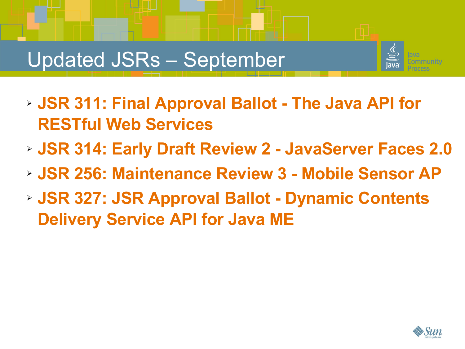## Updated JSRs – September

f

©20

i a



- ➢ **JSR 311: Final Approval Ballot The Java API for RESTful Web Services**
- ➢ **JSR 314: Early Draft Review 2 JavaServer Faces 2.0**
- ➢ **JSR 256: Maintenance Review 3 Mobile Sensor AP**
- ➢ **JSR 327: JSR Approval Ballot Dynamic Contents Delivery Service API for Java ME**

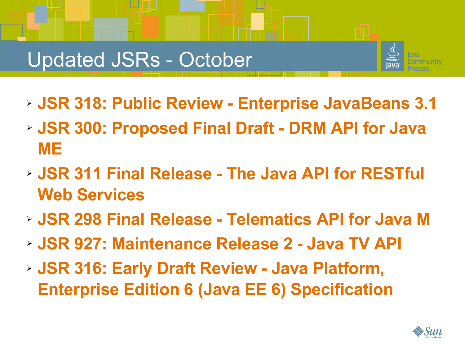## Updated JSRs - October

f

©20

i a



- ➢ **JSR 318: Public Review Enterprise JavaBeans 3.1**
- ➢ **JSR 300: Proposed Final Draft DRM API for Java ME**
- ➢ **JSR 311 Final Release The Java API for RESTful Web Services**
- ➢ **JSR 298 Final Release Telematics API for Java M**
- ➢ **JSR 927: Maintenance Release 2 Java TV API**
- ➢ **JSR 316: Early Draft Review Java Platform, Enterprise Edition 6 (Java EE 6) Specification**

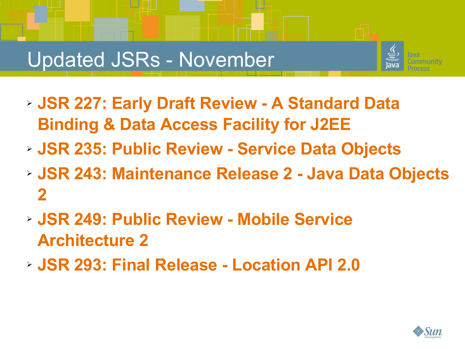#### Updated JSRs - November

f

©20

i a

- 
- ➢ **JSR 227: Early Draft Review A Standard Data Binding & Data Access Facility for J2EE**
- ➢ **JSR 235: Public Review Service Data Objects**
- ➢ **JSR 243: Maintenance Release 2 Java Data Objects 2**
- ➢ **JSR 249: Public Review Mobile Service Architecture 2**
- ➢ **JSR 293: Final Release Location API 2.0**

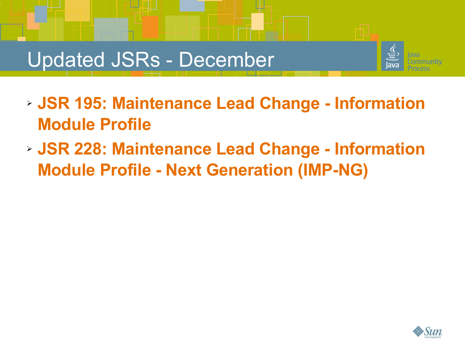#### Updated JSRs - December

f

©20

i a



- ➢ **JSR 195: Maintenance Lead Change Information Module Profile**
- ➢ **JSR 228: Maintenance Lead Change Information Module Profile - Next Generation (IMP-NG)**

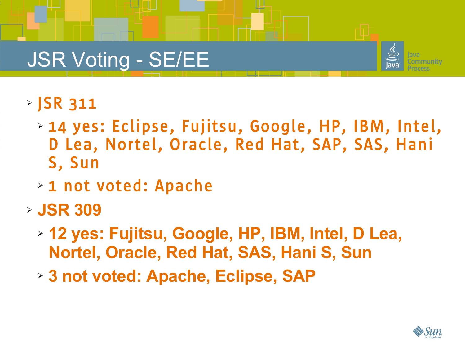## JSR Voting - SE/EE



➢ JSR 311

**7**C

©20

f

i a

- ➢ 14 yes: Eclipse, Fujitsu, Google, HP, IBM, Intel, D Lea, Nortel, Oracle, Red Hat, SAP, SAS, Hani S, Sun
- ➢ 1 not voted: Apache
- ➢ **JSR 309**
	- ➢ **12 yes: Fujitsu, Google, HP, IBM, Intel, D Lea, Nortel, Oracle, Red Hat, SAS, Hani S, Sun**
	- ➢ **3 not voted: Apache, Eclipse, SAP**

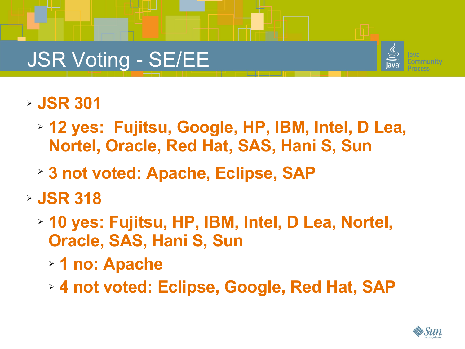# JSR Voting - SE/EE



➢ **JSR 301**

f

©20

i a

- ➢ **12 yes: Fujitsu, Google, HP, IBM, Intel, D Lea, Nortel, Oracle, Red Hat, SAS, Hani S, Sun**
- **▶ 3 not voted: Apache, Eclipse, SAP**
- ➢ **JSR 318**
	- ➢ **10 yes: Fujitsu, HP, IBM, Intel, D Lea, Nortel, Oracle, SAS, Hani S, Sun**
		- ➢ **1 no: Apache**
		- ➢ **4 not voted: Eclipse, Google, Red Hat, SAP**

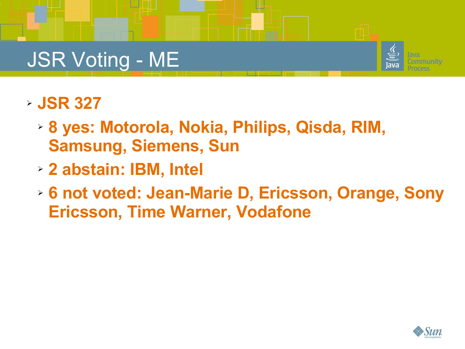# JSR Voting - ME



➢ **JSR 327**

f

©20

i a

- ➢ **8 yes: Motorola, Nokia, Philips, Qisda, RIM, Samsung, Siemens, Sun**
- ➢ **2 abstain: IBM, Intel**
- ➢ **6 not voted: Jean-Marie D, Ericsson, Orange, Sony Ericsson, Time Warner, Vodafone**

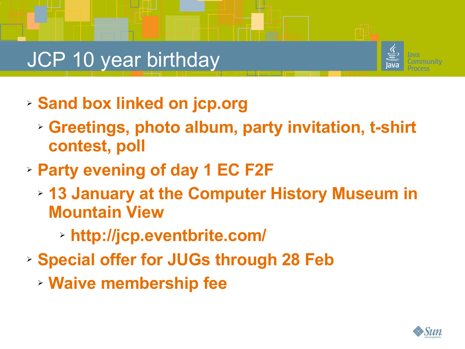# JCP 10 year birthday

f

©20

i a



- ➢ **Sand box linked on jcp.org**
	- ➢ **Greetings, photo album, party invitation, t-shirt contest, poll**
- ➢ **Party evening of day 1 EC F2F**
	- ➢ **13 January at the Computer History Museum in Mountain View**
		- ➢ **<http://jcp.eventbrite.com/>**
- ➢ **Special offer for JUGs through 28 Feb**
	- ➢ **Waive membership fee**

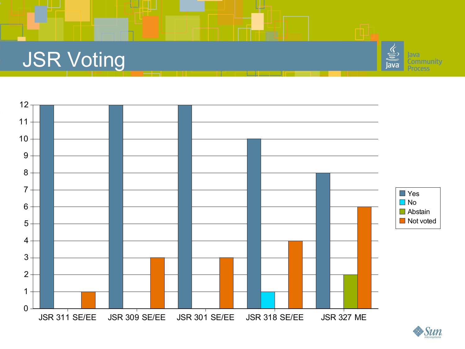## JSR Voting

f

©20

i a



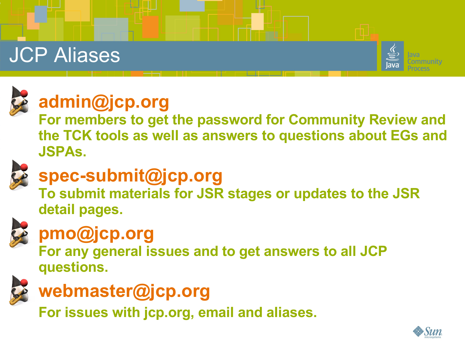# JCP Aliases





f

©20

i a

n

## **[admin@jcp.org](mailto:admin@jcp.org)**

**For members to get the password for Community Review and the TCK tools as well as answers to questions about EGs and JSPAs.**



#### **[spec-submit@jcp.org](mailto:spec-submit@jcp.org)**

**To submit materials for JSR stages or updates to the JSR detail pages.**



## **[pmo@jcp.org](mailto:pmo@jcp.org)**

**For any general issues and to get answers to all JCP questions.**



#### **[webmaster@jcp.org](mailto:webmaster@jcp.org)**

**For issues with jcp.org, email and aliases.**